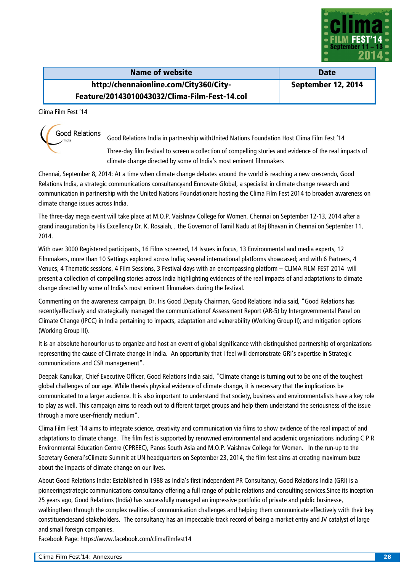

| Name of website                               | <b>Date</b>        |
|-----------------------------------------------|--------------------|
| http://chennaionline.com/City360/City-        | September 12, 2014 |
| Feature/20143010043032/Clima-Film-Fest-14.col |                    |

Clima Film Fest '14



Good Relations India in partnership withUnited Nations Foundation Host Clima Film Fest '14

Three-day film festival to screen a collection of compelling stories and evidence of the real impacts of climate change directed by some of India's most eminent filmmakers

Chennai, September 8, 2014: At a time when climate change debates around the world is reaching a new crescendo, Good Relations India, a strategic communications consultancyand Ennovate Global, a specialist in climate change research and communication in partnership with the United Nations Foundationare hosting the Clima Film Fest 2014 to broaden awareness on climate change issues across India.

The three-day mega event will take place at M.O.P. Vaishnav College for Women, Chennai on September 12-13, 2014 after a grand inauguration by His Excellency Dr. K. Rosaiah, , the Governor of Tamil Nadu at Raj Bhavan in Chennai on September 11, 2014.

With over 3000 Registered participants, 16 Films screened, 14 Issues in focus, 13 Environmental and media experts, 12 Filmmakers, more than 10 Settings explored across India; several international platforms showcased; and with 6 Partners, 4 Venues, 4 Thematic sessions, 4 Film Sessions, 3 Festival days with an encompassing platform – CLIMA FILM FEST 2014 will present a collection of compelling stories across India highlighting evidences of the real impacts of and adaptations to climate change directed by some of India's most eminent filmmakers during the festival.

Commenting on the awareness campaign, Dr. Iris Good ,Deputy Chairman, Good Relations India said, "Good Relations has recentlyeffectively and strategically managed the communicationof Assessment Report (AR-5) by Intergovernmental Panel on Climate Change (IPCC) in India pertaining to impacts, adaptation and vulnerability (Working Group II); and mitigation options (Working Group III).

It is an absolute honourfor us to organize and host an event of global significance with distinguished partnership of organizations representing the cause of Climate change in India. An opportunity that I feel will demonstrate GRI's expertise in Strategic communications and CSR management".

Deepak Kanulkar, Chief Executive Officer, Good Relations India said, "Climate change is turning out to be one of the toughest global challenges of our age. While thereis physical evidence of climate change, it is necessary that the implications be communicated to a larger audience. It is also important to understand that society, business and environmentalists have a key role to play as well. This campaign aims to reach out to different target groups and help them understand the seriousness of the issue through a more user-friendly medium".

Clima Film Fest '14 aims to integrate science, creativity and communication via films to show evidence of the real impact of and adaptations to climate change. The film fest is supported by renowned environmental and academic organizations including C P R Environmental Education Centre (CPREEC), Panos South Asia and M.O.P. Vaishnav College for Women. In the run-up to the Secretary General'sClimate Summit at UN headquarters on September 23, 2014, the film fest aims at creating maximum buzz about the impacts of climate change on our lives.

About Good Relations India: Established in 1988 as India's first independent PR Consultancy, Good Relations India (GRI) is a pioneeringstrategic communications consultancy offering a full range of public relations and consulting services.Since its inception 25 years ago, Good Relations (India) has successfully managed an impressive portfolio of private and public businesse, walkingthem through the complex realities of communication challenges and helping them communicate effectively with their key constituenciesand stakeholders. The consultancy has an impeccable track record of being a market entry and JV catalyst of large and small foreign companies.

Facebook Page: https://www.facebook.com/climafilmfest14